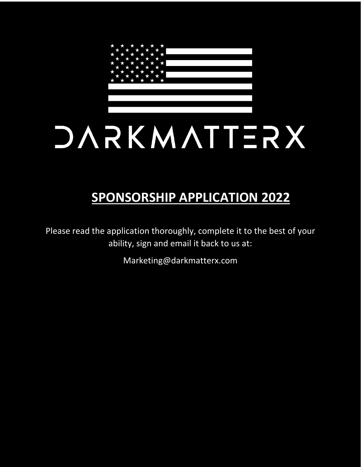

# **SPONSORSHIP APPLICATION 2022**

Please read the application thoroughly, complete it to the best of your ability, sign and email it back to us at:

Marketing@darkmatterx.com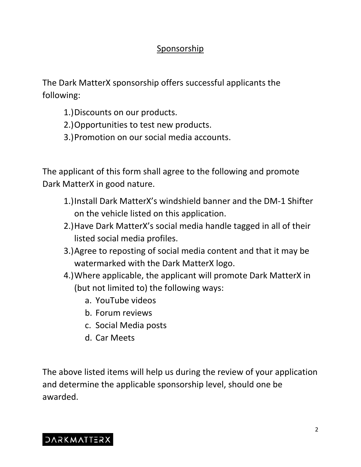### Sponsorship

The Dark MatterX sponsorship offers successful applicants the following:

- 1.)Discounts on our products.
- 2.)Opportunities to test new products.
- 3.)Promotion on our social media accounts.

The applicant of this form shall agree to the following and promote Dark MatterX in good nature.

- 1.)Install Dark MatterX's windshield banner and the DM-1 Shifter on the vehicle listed on this application.
- 2.)Have Dark MatterX's social media handle tagged in all of their listed social media profiles.
- 3.)Agree to reposting of social media content and that it may be watermarked with the Dark MatterX logo.
- 4.)Where applicable, the applicant will promote Dark MatterX in (but not limited to) the following ways:
	- a. YouTube videos
	- b. Forum reviews
	- c. Social Media posts
	- d. Car Meets

The above listed items will help us during the review of your application and determine the applicable sponsorship level, should one be awarded.

## **DARKMATTERX**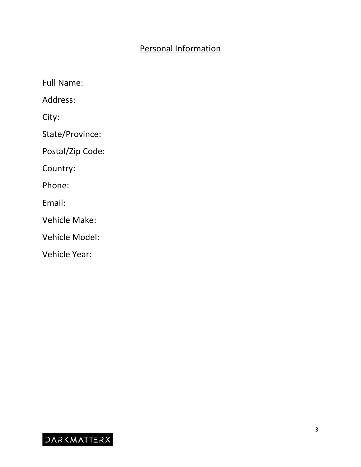### Personal Information

Full Name: Address: City: State/Province: Postal/Zip Code: Country: Phone: Email: Vehicle Make: Vehicle Model: Vehicle Year:

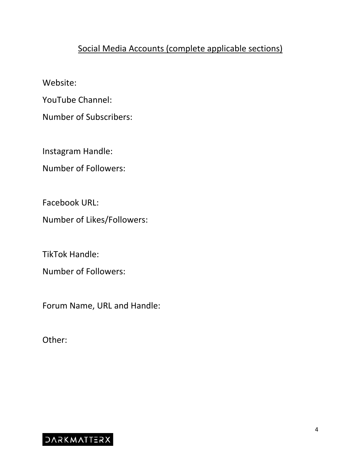#### Social Media Accounts (complete applicable sections)

Website:

YouTube Channel:

Number of Subscribers:

Instagram Handle:

Number of Followers:

Facebook URL:

Number of Likes/Followers:

TikTok Handle:

Number of Followers:

Forum Name, URL and Handle:

Other:

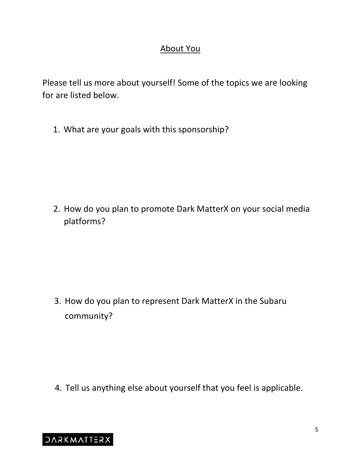#### About You

Please tell us more about yourself! Some of the topics we are looking for are listed below.

1. What are your goals with this sponsorship?

2. How do you plan to promote Dark MatterX on your social media platforms?

3. How do you plan to represent Dark MatterX in the Subaru community?

4. Tell us anything else about yourself that you feel is applicable.